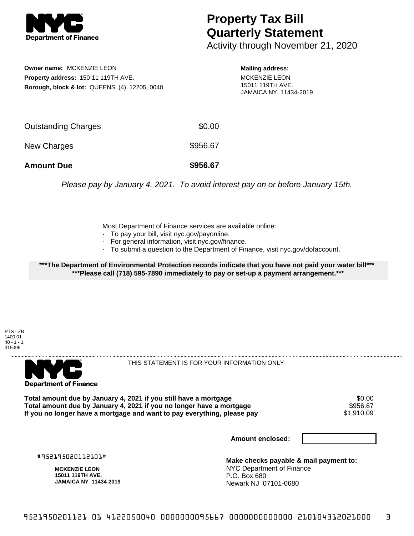

## **Property Tax Bill Quarterly Statement**

Activity through November 21, 2020

**Owner name:** MCKENZIE LEON **Property address:** 150-11 119TH AVE. **Borough, block & lot:** QUEENS (4), 12205, 0040

**Mailing address:** MCKENZIE LEON 15011 119TH AVE. JAMAICA NY 11434-2019

| <b>Amount Due</b>   | \$956.67 |
|---------------------|----------|
| New Charges         | \$956.67 |
| Outstanding Charges | \$0.00   |

Please pay by January 4, 2021. To avoid interest pay on or before January 15th.

Most Department of Finance services are available online:

- · To pay your bill, visit nyc.gov/payonline.
- For general information, visit nyc.gov/finance.
- · To submit a question to the Department of Finance, visit nyc.gov/dofaccount.

**\*\*\*The Department of Environmental Protection records indicate that you have not paid your water bill\*\*\* \*\*\*Please call (718) 595-7890 immediately to pay or set-up a payment arrangement.\*\*\***

PTS - ZB 1400.01  $40 - 1 - 1$ 315096



THIS STATEMENT IS FOR YOUR INFORMATION ONLY

Total amount due by January 4, 2021 if you still have a mortgage \$0.00<br>Total amount due by January 4, 2021 if you no longer have a mortgage \$956.67 **Total amount due by January 4, 2021 if you no longer have a mortgage \$956.67<br>If you no longer have a mortgage and want to pay everything, please pay \$1,910.09** If you no longer have a mortgage and want to pay everything, please pay

**Amount enclosed:**

#952195020112101#

**MCKENZIE LEON 15011 119TH AVE. JAMAICA NY 11434-2019**

**Make checks payable & mail payment to:** NYC Department of Finance P.O. Box 680 Newark NJ 07101-0680